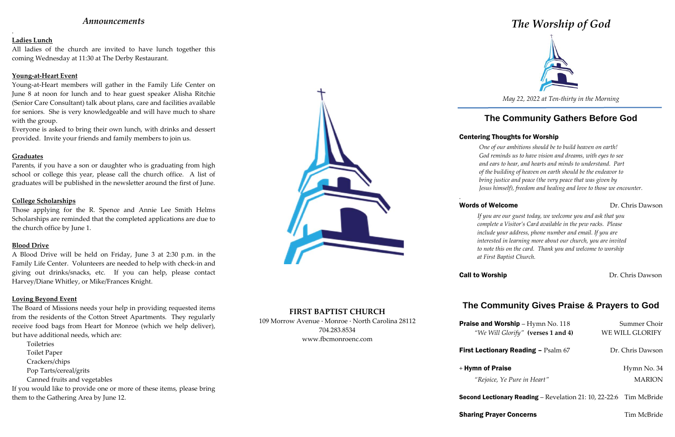## *Announcements*

.

## **Ladies Lunch**

All ladies of the church are invited to have lunch together this coming Wednesday at 11:30 at The Derby Restaurant.

### **Young-at-Heart Event**

Young-at-Heart members will gather in the Family Life Center on June 8 at noon for lunch and to hear guest speaker Alisha Ritchie (Senior Care Consultant) talk about plans, care and facilities available for seniors. She is very knowledgeable and will have much to share with the group.

Everyone is asked to bring their own lunch, with drinks and dessert provided. Invite your friends and family members to join us.

### **Graduates**

Parents, if you have a son or daughter who is graduating from high school or college this year, please call the church office. A list of graduates will be published in the newsletter around the first of June.

### **College Scholarships**

Those applying for the R. Spence and Annie Lee Smith Helms Scholarships are reminded that the completed applications are due to the church office by June 1.

### **Blood Drive**

A Blood Drive will be held on Friday, June 3 at 2:30 p.m. in the Family Life Center. Volunteers are needed to help with check-in and giving out drinks/snacks, etc. If you can help, please contact Harvey/Diane Whitley, or Mike/Frances Knight.

### **Loving Beyond Event**

The Board of Missions needs your help in providing requested items from the residents of the Cotton Street Apartments. They regularly receive food bags from Heart for Monroe (which we help deliver), but have additional needs, which are:

Toiletries Toilet Paper Crackers/chips Pop Tarts/cereal/grits Canned fruits and vegetables If you would like to provide one or more of these items, please bring

them to the Gathering Area by June 12.



**FIRST BAPTIST CHURCH** 109 Morrow Avenue · Monroe · North Carolina 28112 704.283.8534 www.fbcmonroenc.com

# *The Worship of God*



*May 22, 2022 at Ten-thirty in the Morning*

# **The Community Gathers Before God**

## Centering Thoughts for Worship

## Words of Welcome **Dr.** Chris Dawson

*One of our ambitions should be to build heaven on earth! God reminds us to have vision and dreams, with eyes to see and ears to hear, and hearts and minds to understand. Part of the building of heaven on earth should be the endeavor to bring justice and peace (the very peace that was given by Jesus himself), freedom and healing and love to those we encounter.*

*.*

*If you are our guest today, we welcome you and ask that you complete a Visitor's Card available in the pew racks. Please include your address, phone number and email. If you are interested in learning more about our church, you are invited to note this on the card. Thank you and welcome to worship at First Baptist Church.*

**Call to Worship Call to Worship Dr. Chris Dawson** 

# **The Community Gives Praise & Prayers to God**

Second Lecti

| <b>Praise and Worship</b> - Hymn No. 118<br>"We Will Glorify" (verses 1 and 4) | Summer Choir<br>WE WILL GLORIFY |
|--------------------------------------------------------------------------------|---------------------------------|
| <b>First Lectionary Reading - Psalm 67</b>                                     | Dr. Chris Dawson                |
| + Hymn of Praise<br>"Rejoice, Ye Pure in Heart"                                | Hymn No. 34<br><b>MARION</b>    |
| <b>Second Lectionary Reading – Revelation 21: 10, 22-22:6 Tim McBride</b>      |                                 |
| <b>Sharing Prayer Concerns</b>                                                 | Tim McBride                     |